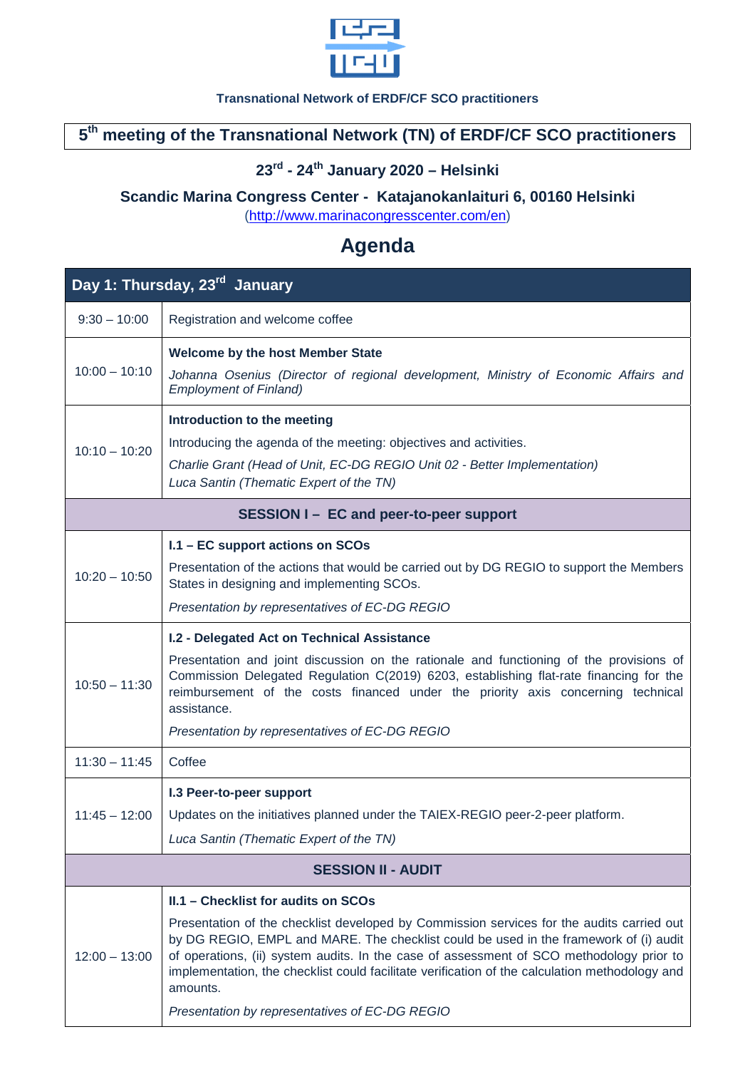

#### **Transnational Network of ERDF/CF SCO practitioners**

### **5th meeting of the Transnational Network (TN) of ERDF/CF SCO practitioners**

# **23rd - 24th January 2020 – Helsinki**

#### **Scandic Marina Congress Center - Katajanokanlaituri 6, 00160 Helsinki**

[\(http://www.marinacongresscenter.com/en\)](http://www.marinacongresscenter.com/en) 

# **Agenda**

| Day 1: Thursday, 23 <sup>rd</sup> January |                                                                                                                                                                                                                                                                                                                                                                                                                                                                                       |  |
|-------------------------------------------|---------------------------------------------------------------------------------------------------------------------------------------------------------------------------------------------------------------------------------------------------------------------------------------------------------------------------------------------------------------------------------------------------------------------------------------------------------------------------------------|--|
| $9:30 - 10:00$                            | Registration and welcome coffee                                                                                                                                                                                                                                                                                                                                                                                                                                                       |  |
| $10:00 - 10:10$                           | <b>Welcome by the host Member State</b><br>Johanna Osenius (Director of regional development, Ministry of Economic Affairs and<br><b>Employment of Finland)</b>                                                                                                                                                                                                                                                                                                                       |  |
| $10:10 - 10:20$                           | Introduction to the meeting<br>Introducing the agenda of the meeting: objectives and activities.<br>Charlie Grant (Head of Unit, EC-DG REGIO Unit 02 - Better Implementation)<br>Luca Santin (Thematic Expert of the TN)                                                                                                                                                                                                                                                              |  |
| SESSION I - EC and peer-to-peer support   |                                                                                                                                                                                                                                                                                                                                                                                                                                                                                       |  |
| $10:20 - 10:50$                           | I.1 - EC support actions on SCOs<br>Presentation of the actions that would be carried out by DG REGIO to support the Members<br>States in designing and implementing SCOs.<br>Presentation by representatives of EC-DG REGIO                                                                                                                                                                                                                                                          |  |
| $10:50 - 11:30$                           | I.2 - Delegated Act on Technical Assistance<br>Presentation and joint discussion on the rationale and functioning of the provisions of<br>Commission Delegated Regulation C(2019) 6203, establishing flat-rate financing for the<br>reimbursement of the costs financed under the priority axis concerning technical<br>assistance.<br>Presentation by representatives of EC-DG REGIO                                                                                                 |  |
| $11:30 - 11:45$                           | Coffee                                                                                                                                                                                                                                                                                                                                                                                                                                                                                |  |
| $11:45 - 12:00$                           | I.3 Peer-to-peer support<br>Updates on the initiatives planned under the TAIEX-REGIO peer-2-peer platform.<br>Luca Santin (Thematic Expert of the TN)                                                                                                                                                                                                                                                                                                                                 |  |
| <b>SESSION II - AUDIT</b>                 |                                                                                                                                                                                                                                                                                                                                                                                                                                                                                       |  |
| $12:00 - 13:00$                           | II.1 - Checklist for audits on SCOs<br>Presentation of the checklist developed by Commission services for the audits carried out<br>by DG REGIO, EMPL and MARE. The checklist could be used in the framework of (i) audit<br>of operations, (ii) system audits. In the case of assessment of SCO methodology prior to<br>implementation, the checklist could facilitate verification of the calculation methodology and<br>amounts.<br>Presentation by representatives of EC-DG REGIO |  |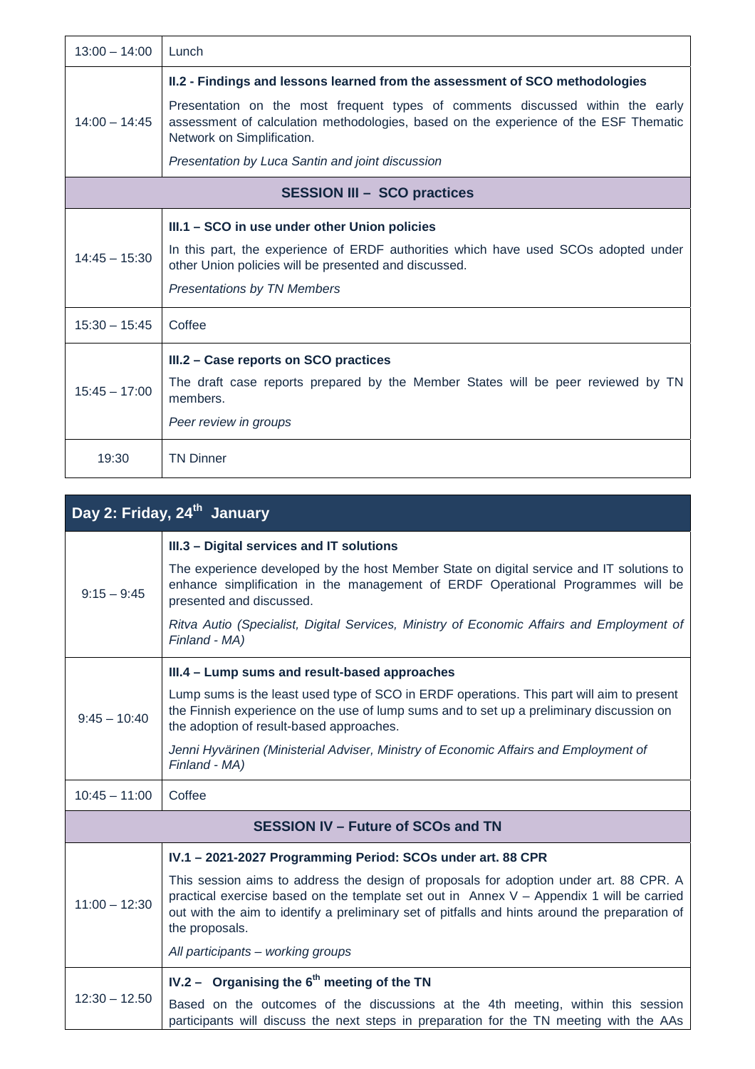| $13:00 - 14:00$                    | Lunch                                                                                                                                                                                                                               |  |
|------------------------------------|-------------------------------------------------------------------------------------------------------------------------------------------------------------------------------------------------------------------------------------|--|
| $14:00 - 14:45$                    | II.2 - Findings and lessons learned from the assessment of SCO methodologies                                                                                                                                                        |  |
|                                    | Presentation on the most frequent types of comments discussed within the early<br>assessment of calculation methodologies, based on the experience of the ESF Thematic<br>Network on Simplification.                                |  |
|                                    | Presentation by Luca Santin and joint discussion                                                                                                                                                                                    |  |
| <b>SESSION III - SCO practices</b> |                                                                                                                                                                                                                                     |  |
| $14:45 - 15:30$                    | III.1 – SCO in use under other Union policies<br>In this part, the experience of ERDF authorities which have used SCOs adopted under<br>other Union policies will be presented and discussed.<br><b>Presentations by TN Members</b> |  |
| $15:30 - 15:45$                    | Coffee                                                                                                                                                                                                                              |  |
| $15:45 - 17:00$                    | III.2 - Case reports on SCO practices<br>The draft case reports prepared by the Member States will be peer reviewed by TN<br>members.<br>Peer review in groups                                                                      |  |
| 19:30                              | <b>TN Dinner</b>                                                                                                                                                                                                                    |  |

| Day 2: Friday, 24 <sup>th</sup> January   |                                                                                                                                                                                                                                                                                                          |  |
|-------------------------------------------|----------------------------------------------------------------------------------------------------------------------------------------------------------------------------------------------------------------------------------------------------------------------------------------------------------|--|
| $9:15 - 9:45$                             | III.3 - Digital services and IT solutions                                                                                                                                                                                                                                                                |  |
|                                           | The experience developed by the host Member State on digital service and IT solutions to<br>enhance simplification in the management of ERDF Operational Programmes will be<br>presented and discussed.                                                                                                  |  |
|                                           | Ritva Autio (Specialist, Digital Services, Ministry of Economic Affairs and Employment of<br>Finland - MA)                                                                                                                                                                                               |  |
| $9:45 - 10:40$                            | III.4 - Lump sums and result-based approaches                                                                                                                                                                                                                                                            |  |
|                                           | Lump sums is the least used type of SCO in ERDF operations. This part will aim to present<br>the Finnish experience on the use of lump sums and to set up a preliminary discussion on<br>the adoption of result-based approaches.                                                                        |  |
|                                           | Jenni Hyvärinen (Ministerial Adviser, Ministry of Economic Affairs and Employment of<br>Finland - MA)                                                                                                                                                                                                    |  |
| $10:45 - 11:00$                           | Coffee                                                                                                                                                                                                                                                                                                   |  |
| <b>SESSION IV - Future of SCOs and TN</b> |                                                                                                                                                                                                                                                                                                          |  |
| $11:00 - 12:30$                           | IV.1 - 2021-2027 Programming Period: SCOs under art. 88 CPR                                                                                                                                                                                                                                              |  |
|                                           | This session aims to address the design of proposals for adoption under art. 88 CPR. A<br>practical exercise based on the template set out in Annex $V -$ Appendix 1 will be carried<br>out with the aim to identify a preliminary set of pitfalls and hints around the preparation of<br>the proposals. |  |
|                                           | All participants - working groups                                                                                                                                                                                                                                                                        |  |
| $12:30 - 12.50$                           | IV.2 - Organising the $6th$ meeting of the TN                                                                                                                                                                                                                                                            |  |
|                                           | Based on the outcomes of the discussions at the 4th meeting, within this session<br>participants will discuss the next steps in preparation for the TN meeting with the AAs                                                                                                                              |  |